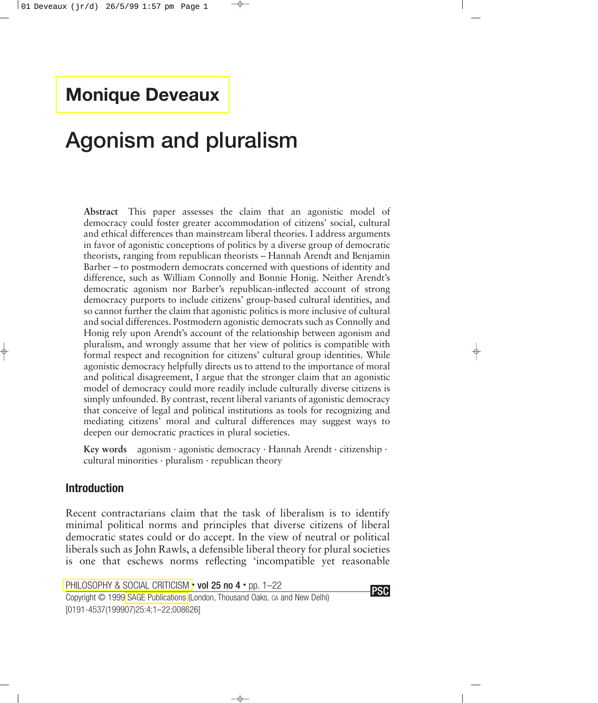## **[Monique Deveaux](#page-17-0)**

# **Agonism and pluralism**

**Abstract** This paper assesses the claim that an agonistic model of democracy could foster greater accommodation of citizens' social, cultural and ethical differences than mainstream liberal theories. I address arguments in favor of agonistic conceptions of politics by a diverse group of democratic theorists, ranging from republican theorists – Hannah Arendt and Benjamin Barber – to postmodern democrats concerned with questions of identity and difference, such as William Connolly and Bonnie Honig. Neither Arendt's democratic agonism nor Barber's republican-inflected account of strong democracy purports to include citizens' group-based cultural identities, and so cannot further the claim that agonistic politics is more inclusive of cultural and social differences. Postmodern agonistic democrats such as Connolly and Honig rely upon Arendt's account of the relationship between agonism and pluralism, and wrongly assume that her view of politics is compatible with formal respect and recognition for citizens' cultural group identities. While agonistic democracy helpfully directs us to attend to the importance of moral and political disagreement, I argue that the stronger claim that an agonistic model of democracy could more readily include culturally diverse citizens is simply unfounded. By contrast, recent liberal variants of agonistic democracy that conceive of legal and political institutions as tools for recognizing and mediating citizens' moral and cultural differences may suggest ways to deepen our democratic practices in plural societies.

**Key words** agonism · agonistic democracy · Hannah Arendt · citizenship · cultural minorities  $\cdot$  pluralism  $\cdot$  republican theory

#### **Introduction**

Recent contractarians claim that the task of liberalism is to identify minimal political norms and principles that diverse citizens of liberal democratic states could or do accept. In the view of neutral or political liberals such as John Rawls, a defensible liberal theory for plural societies is one that eschews norms reflecting 'incompatible yet reasonable

[PHILOSOPHY & SOCIAL CRITICISM](http://www.sagepub.co.uk/journals/details/j0084.html) • vol 25 no 4 • pp. 1–22

Copyright © 1999 [SAGE Publications](http://www.sagepub.co.uk/) (London, Thousand Oaks, CA and New Delhi) [0191-4537(199907)25:4;1–22;008626]

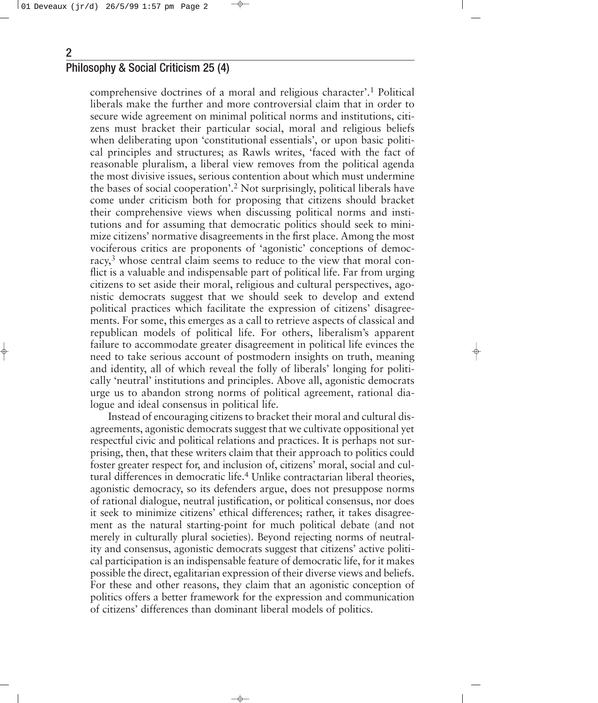comprehensive doctrines of a moral and religious character'.1 Political liberals make the further and more controversial claim that in order to secure wide agreement on minimal political norms and institutions, citizens must bracket their particular social, moral and religious beliefs when deliberating upon 'constitutional essentials', or upon basic political principles and structures; as Rawls writes, 'faced with the fact of reasonable pluralism, a liberal view removes from the political agenda the most divisive issues, serious contention about which must undermine the bases of social cooperation'.2 Not surprisingly, political liberals have come under criticism both for proposing that citizens should bracket their comprehensive views when discussing political norms and institutions and for assuming that democratic politics should seek to minimize citizens' normative disagreements in the first place. Among the most vociferous critics are proponents of 'agonistic' conceptions of democracy, <sup>3</sup> whose central claim seems to reduce to the view that moral conflict is a valuable and indispensable part of political life. Far from urging citizens to set aside their moral, religious and cultural perspectives, agonistic democrats suggest that we should seek to develop and extend political practices which facilitate the expression of citizens' disagreements. For some, this emerges as a call to retrieve aspects of classical and republican models of political life. For others, liberalism's apparent failure to accommodate greater disagreement in political life evinces the need to take serious account of postmodern insights on truth, meaning and identity, all of which reveal the folly of liberals' longing for politically 'neutral' institutions and principles. Above all, agonistic democrats urge us to abandon strong norms of political agreement, rational dialogue and ideal consensus in political life.

Instead of encouraging citizens to bracket their moral and cultural disagreements, agonistic democrats suggest that we cultivate oppositional yet respectful civic and political relations and practices. It is perhaps not surprising, then, that these writers claim that their approach to politics could foster greater respect for, and inclusion of, citizens' moral, social and cultural differences in democratic life.4 Unlike contractarian liberal theories, agonistic democracy, so its defenders argue, does not presuppose norms of rational dialogue, neutral justification, or political consensus, nor does it seek to minimize citizens' ethical differences; rather, it takes disagreement as the natural starting-point for much political debate (and not merely in culturally plural societies). Beyond rejecting norms of neutrality and consensus, agonistic democrats suggest that citizens' active political participation is an indispensable feature of democratic life, for it makes possible the direct, egalitarian expression of their diverse views and beliefs. For these and other reasons, they claim that an agonistic conception of politics offers a better framework for the expression and communication of citizens' differences than dominant liberal models of politics.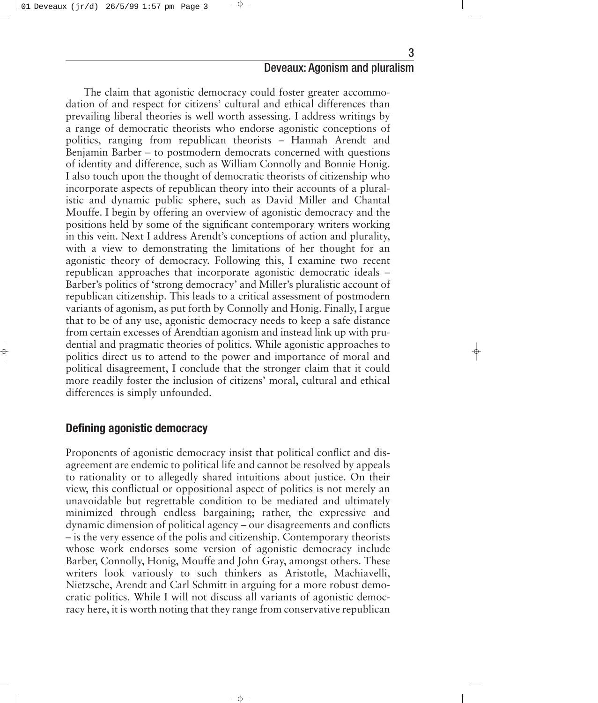The claim that agonistic democracy could foster greater accommodation of and respect for citizens' cultural and ethical differences than prevailing liberal theories is well worth assessing. I address writings by a range of democratic theorists who endorse agonistic conceptions of politics, ranging from republican theorists – Hannah Arendt and Benjamin Barber – to postmodern democrats concerned with questions of identity and difference, such as William Connolly and Bonnie Honig. I also touch upon the thought of democratic theorists of citizenship who incorporate aspects of republican theory into their accounts of a pluralistic and dynamic public sphere, such as David Miller and Chantal Mouffe. I begin by offering an overview of agonistic democracy and the positions held by some of the significant contemporary writers working in this vein. Next I address Arendt's conceptions of action and plurality, with a view to demonstrating the limitations of her thought for an agonistic theory of democracy. Following this, I examine two recent republican approaches that incorporate agonistic democratic ideals – Barber's politics of 'strong democracy' and Miller's pluralistic account of republican citizenship. This leads to a critical assessment of postmodern variants of agonism, as put forth by Connolly and Honig. Finally, I argue that to be of any use, agonistic democracy needs to keep a safe distance from certain excesses of Arendtian agonism and instead link up with prudential and pragmatic theories of politics. While agonistic approaches to politics direct us to attend to the power and importance of moral and political disagreement, I conclude that the stronger claim that it could more readily foster the inclusion of citizens' moral, cultural and ethical differences is simply unfounded.

#### **Defining agonistic democracy**

Proponents of agonistic democracy insist that political conflict and disagreement are endemic to political life and cannot be resolved by appeals to rationality or to allegedly shared intuitions about justice. On their view, this conflictual or oppositional aspect of politics is not merely an unavoidable but regrettable condition to be mediated and ultimately minimized through endless bargaining; rather, the expressive and dynamic dimension of political agency – our disagreements and conflicts – is the very essence of the polis and citizenship. Contemporary theorists whose work endorses some version of agonistic democracy include Barber, Connolly, Honig, Mouffe and John Gray, amongst others. These writers look variously to such thinkers as Aristotle, Machiavelli, Nietzsche, Arendt and Carl Schmitt in arguing for a more robust democratic politics. While I will not discuss all variants of agonistic democracy here, it is worth noting that they range from conservative republican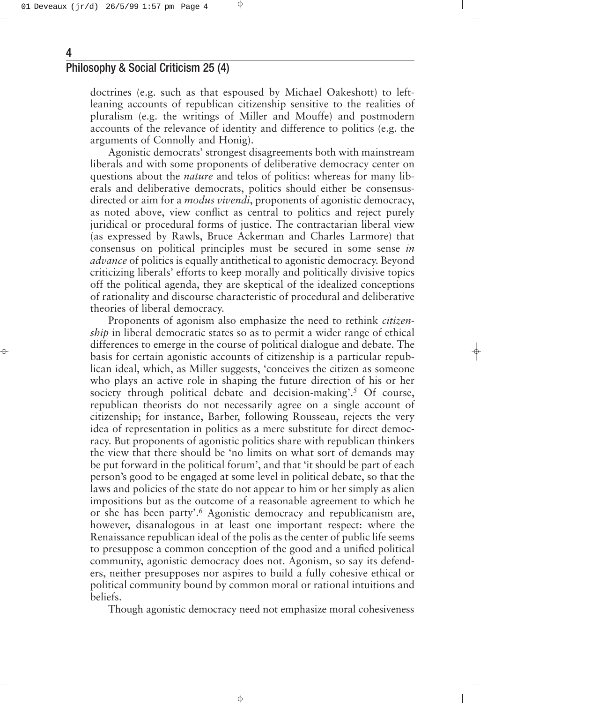doctrines (e.g. such as that espoused by Michael Oakeshott) to leftleaning accounts of republican citizenship sensitive to the realities of pluralism (e.g. the writings of Miller and Mouffe) and postmodern accounts of the relevance of identity and difference to politics (e.g. the arguments of Connolly and Honig).

Agonistic democrats' strongest disagreements both with mainstream liberals and with some proponents of deliberative democracy center on questions about the *nature* and telos of politics: whereas for many liberals and deliberative democrats, politics should either be consensusdirected or aim for a *modus vivendi*, proponents of agonistic democracy, as noted above, view conflict as central to politics and reject purely juridical or procedural forms of justice. The contractarian liberal view (as expressed by Rawls, Bruce Ackerman and Charles Larmore) that consensus on political principles must be secured in some sense *in advance* of politics is equally antithetical to agonistic democracy. Beyond criticizing liberals' efforts to keep morally and politically divisive topics off the political agenda, they are skeptical of the idealized conceptions of rationality and discourse characteristic of procedural and deliberative theories of liberal democracy.

Proponents of agonism also emphasize the need to rethink *citizenship* in liberal democratic states so as to permit a wider range of ethical differences to emerge in the course of political dialogue and debate. The basis for certain agonistic accounts of citizenship is a particular republican ideal, which, as Miller suggests, 'conceives the citizen as someone who plays an active role in shaping the future direction of his or her society through political debate and decision-making'.<sup>5</sup> Of course, republican theorists do not necessarily agree on a single account of citizenship; for instance, Barber, following Rousseau, rejects the very idea of representation in politics as a mere substitute for direct democracy. But proponents of agonistic politics share with republican thinkers the view that there should be 'no limits on what sort of demands may be put forward in the political forum', and that 'it should be part of each person's good to be engaged at some level in political debate, so that the laws and policies of the state do not appear to him or her simply as alien impositions but as the outcome of a reasonable agreement to which he or she has been party'.6 Agonistic democracy and republicanism are, however, disanalogous in at least one important respect: where the Renaissance republican ideal of the polis as the center of public life seems to presuppose a common conception of the good and a unified political community, agonistic democracy does not. Agonism, so say its defenders, neither presupposes nor aspires to build a fully cohesive ethical or political community bound by common moral or rational intuitions and beliefs.

Though agonistic democracy need not emphasize moral cohesiveness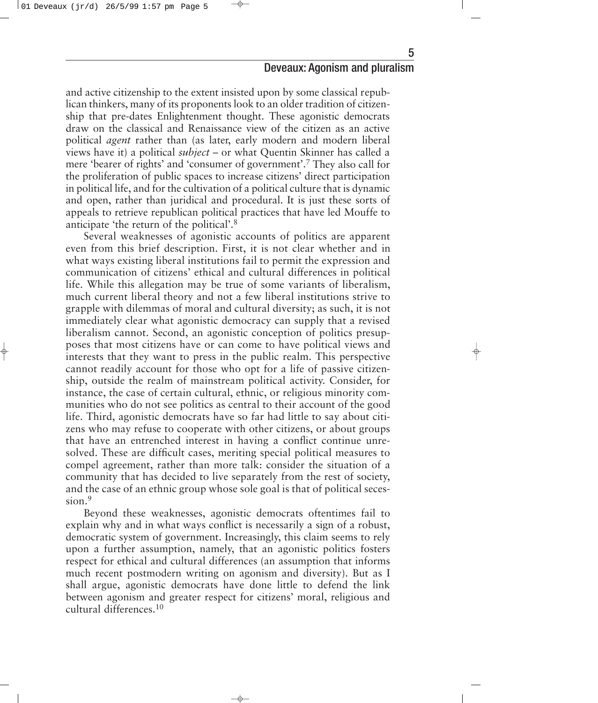and active citizenship to the extent insisted upon by some classical republican thinkers, many of its proponents look to an older tradition of citizenship that pre-dates Enlightenment thought. These agonistic democrats draw on the classical and Renaissance view of the citizen as an active political *agent* rather than (as later, early modern and modern liberal views have it) a political *subject* – or what Quentin Skinner has called a mere 'bearer of rights' and 'consumer of government'.7 They also call for the proliferation of public spaces to increase citizens' direct participation in political life, and for the cultivation of a political culture that is dynamic and open, rather than juridical and procedural. It is just these sorts of appeals to retrieve republican political practices that have led Mouffe to anticipate 'the return of the political'.8

Several weaknesses of agonistic accounts of politics are apparent even from this brief description. First, it is not clear whether and in what ways existing liberal institutions fail to permit the expression and communication of citizens' ethical and cultural differences in political life. While this allegation may be true of some variants of liberalism, much current liberal theory and not a few liberal institutions strive to grapple with dilemmas of moral and cultural diversity; as such, it is not immediately clear what agonistic democracy can supply that a revised liberalism cannot. Second, an agonistic conception of politics presupposes that most citizens have or can come to have political views and interests that they want to press in the public realm. This perspective cannot readily account for those who opt for a life of passive citizenship, outside the realm of mainstream political activity. Consider, for instance, the case of certain cultural, ethnic, or religious minority communities who do not see politics as central to their account of the good life. Third, agonistic democrats have so far had little to say about citizens who may refuse to cooperate with other citizens, or about groups that have an entrenched interest in having a conflict continue unresolved. These are difficult cases, meriting special political measures to compel agreement, rather than more talk: consider the situation of a community that has decided to live separately from the rest of society, and the case of an ethnic group whose sole goal is that of political secession.<sup>9</sup>

Beyond these weaknesses, agonistic democrats oftentimes fail to explain why and in what ways conflict is necessarily a sign of a robust, democratic system of government. Increasingly, this claim seems to rely upon a further assumption, namely, that an agonistic politics fosters respect for ethical and cultural differences (an assumption that informs much recent postmodern writing on agonism and diversity). But as I shall argue, agonistic democrats have done little to defend the link between agonism and greater respect for citizens' moral, religious and cultural differences.10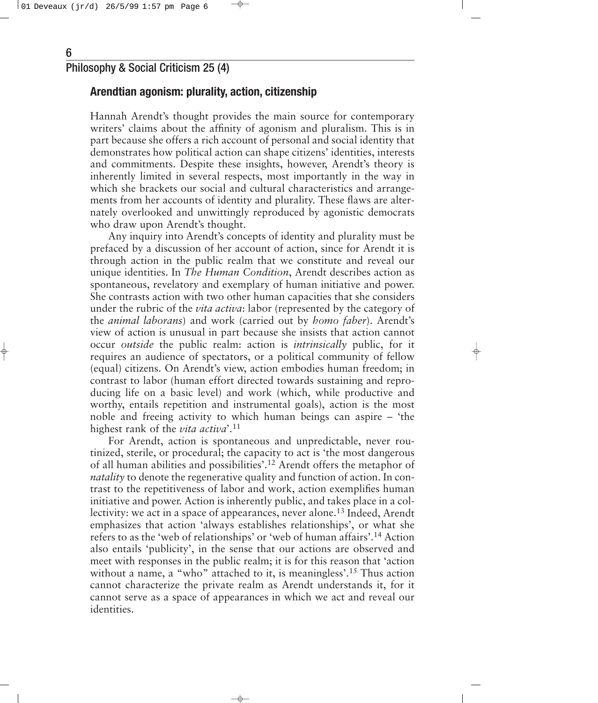#### **Arendtian agonism: plurality, action, citizenship**

Hannah Arendt's thought provides the main source for contemporary writers' claims about the affinity of agonism and pluralism. This is in part because she offers a rich account of personal and social identity that demonstrates how political action can shape citizens' identities, interests and commitments. Despite these insights, however, Arendt's theory is inherently limited in several respects, most importantly in the way in which she brackets our social and cultural characteristics and arrangements from her accounts of identity and plurality. These flaws are alternately overlooked and unwittingly reproduced by agonistic democrats who draw upon Arendt's thought.

Any inquiry into Arendt's concepts of identity and plurality must be prefaced by a discussion of her account of action, since for Arendt it is through action in the public realm that we constitute and reveal our unique identities. In *The Human Condition*, Arendt describes action as spontaneous, revelatory and exemplary of human initiative and power. She contrasts action with two other human capacities that she considers under the rubric of the *vita activa*: labor (represented by the category of the *animal laborans*) and work (carried out by *homo faber*). Arendt's view of action is unusual in part because she insists that action cannot occur *outside* the public realm: action is *intrinsically* public, for it requires an audience of spectators, or a political community of fellow (equal) citizens. On Arendt's view, action embodies human freedom; in contrast to labor (human effort directed towards sustaining and reproducing life on a basic level) and work (which, while productive and worthy, entails repetition and instrumental goals), action is the most noble and freeing activity to which human beings can aspire – 'the highest rank of the *vita activa*'.11

For Arendt, action is spontaneous and unpredictable, never routinized, sterile, or procedural; the capacity to act is 'the most dangerous of all human abilities and possibilities'.12 Arendt offers the metaphor of *natality* to denote the regenerative quality and function of action. In contrast to the repetitiveness of labor and work, action exemplifies human initiative and power. Action is inherently public, and takes place in a collectivity: we act in a space of appearances, never alone.<sup>13</sup> Indeed, Arendt emphasizes that action 'always establishes relationships', or what she refers to as the 'web of relationships' or 'web of human affairs'.14 Action also entails 'publicity', in the sense that our actions are observed and meet with responses in the public realm; it is for this reason that 'action without a name, a "who" attached to it, is meaningless'.<sup>15</sup> Thus action cannot characterize the private realm as Arendt understands it, for it cannot serve as a space of appearances in which we act and reveal our identities.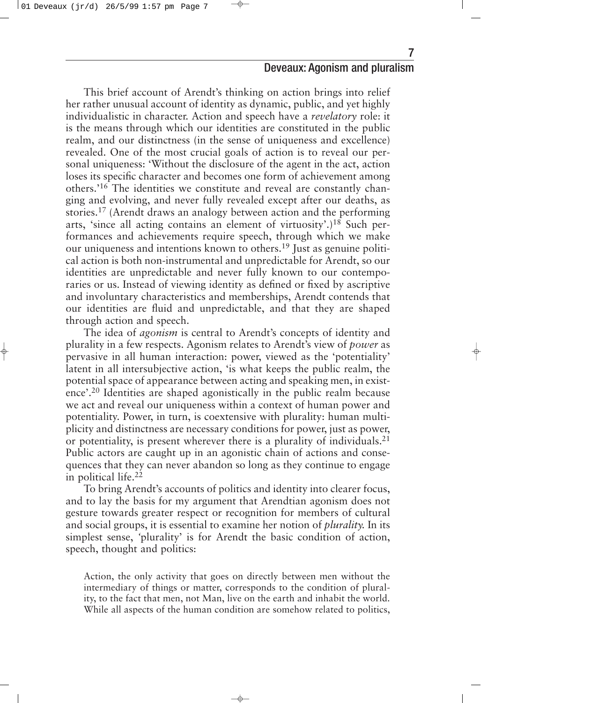This brief account of Arendt's thinking on action brings into relief her rather unusual account of identity as dynamic, public, and yet highly individualistic in character. Action and speech have a *revelatory* role: it is the means through which our identities are constituted in the public realm, and our distinctness (in the sense of uniqueness and excellence) revealed. One of the most crucial goals of action is to reveal our personal uniqueness: 'Without the disclosure of the agent in the act, action loses its specific character and becomes one form of achievement among others.'16 The identities we constitute and reveal are constantly changing and evolving, and never fully revealed except after our deaths, as stories.17 (Arendt draws an analogy between action and the performing arts, 'since all acting contains an element of virtuosity'.)18 Such performances and achievements require speech, through which we make our uniqueness and intentions known to others.19 Just as genuine political action is both non-instrumental and unpredictable for Arendt, so our identities are unpredictable and never fully known to our contemporaries or us. Instead of viewing identity as defined or fixed by ascriptive and involuntary characteristics and memberships, Arendt contends that our identities are fluid and unpredictable, and that they are shaped through action and speech.

The idea of *agonism* is central to Arendt's concepts of identity and plurality in a few respects. Agonism relates to Arendt's view of *power* as pervasive in all human interaction: power, viewed as the 'potentiality' latent in all intersubjective action, 'is what keeps the public realm, the potential space of appearance between acting and speaking men, in existence'.20 Identities are shaped agonistically in the public realm because we act and reveal our uniqueness within a context of human power and potentiality. Power, in turn, is coextensive with plurality: human multiplicity and distinctness are necessary conditions for power, just as power, or potentiality, is present wherever there is a plurality of individuals.21 Public actors are caught up in an agonistic chain of actions and consequences that they can never abandon so long as they continue to engage in political life.22

To bring Arendt's accounts of politics and identity into clearer focus, and to lay the basis for my argument that Arendtian agonism does not gesture towards greater respect or recognition for members of cultural and social groups, it is essential to examine her notion of *plurality.* In its simplest sense, *'*plurality' is for Arendt the basic condition of action, speech, thought and politics:

Action, the only activity that goes on directly between men without the intermediary of things or matter, corresponds to the condition of plurality, to the fact that men, not Man, live on the earth and inhabit the world. While all aspects of the human condition are somehow related to politics,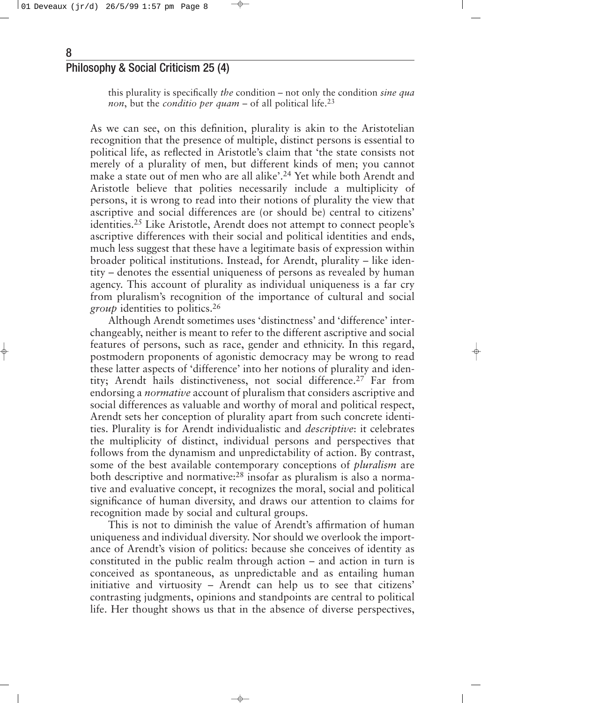this plurality is specifically *the* condition – not only the condition *sine qua non*, but the *conditio per quam* – of all political life.<sup>23</sup>

As we can see, on this definition, plurality is akin to the Aristotelian recognition that the presence of multiple, distinct persons is essential to political life, as reflected in Aristotle's claim that 'the state consists not merely of a plurality of men, but different kinds of men; you cannot make a state out of men who are all alike'.<sup>24</sup> Yet while both Arendt and Aristotle believe that polities necessarily include a multiplicity of persons, it is wrong to read into their notions of plurality the view that ascriptive and social differences are (or should be) central to citizens' identities.25 Like Aristotle, Arendt does not attempt to connect people's ascriptive differences with their social and political identities and ends, much less suggest that these have a legitimate basis of expression within broader political institutions. Instead, for Arendt, plurality – like identity – denotes the essential uniqueness of persons as revealed by human agency. This account of plurality as individual uniqueness is a far cry from pluralism's recognition of the importance of cultural and social *group* identities to politics.<sup>26</sup>

Although Arendt sometimes uses 'distinctness' and 'difference' interchangeably, neither is meant to refer to the different ascriptive and social features of persons, such as race, gender and ethnicity. In this regard, postmodern proponents of agonistic democracy may be wrong to read these latter aspects of 'difference' into her notions of plurality and identity; Arendt hails distinctiveness, not social difference.<sup>27</sup> Far from endorsing a *normative* account of pluralism that considers ascriptive and social differences as valuable and worthy of moral and political respect, Arendt sets her conception of plurality apart from such concrete identities. Plurality is for Arendt individualistic and *descriptive*: it celebrates the multiplicity of distinct, individual persons and perspectives that follows from the dynamism and unpredictability of action. By contrast, some of the best available contemporary conceptions of *pluralism* are both descriptive and normative: $28$  insofar as pluralism is also a normative and evaluative concept, it recognizes the moral, social and political significance of human diversity, and draws our attention to claims for recognition made by social and cultural groups.

This is not to diminish the value of Arendt's affirmation of human uniqueness and individual diversity. Nor should we overlook the importance of Arendt's vision of politics: because she conceives of identity as constituted in the public realm through action – and action in turn is conceived as spontaneous, as unpredictable and as entailing human initiative and virtuosity – Arendt can help us to see that citizens' contrasting judgments, opinions and standpoints are central to political life. Her thought shows us that in the absence of diverse perspectives,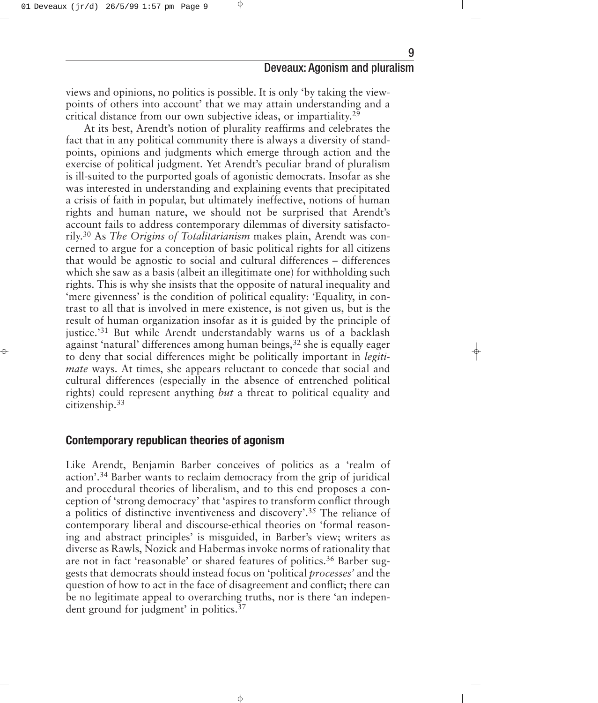views and opinions, no politics is possible. It is only 'by taking the viewpoints of others into account' that we may attain understanding and a critical distance from our own subjective ideas, or impartiality. 29

At its best, Arendt's notion of plurality reaffirms and celebrates the fact that in any political community there is always a diversity of standpoints, opinions and judgments which emerge through action and the exercise of political judgment. Yet Arendt's peculiar brand of pluralism is ill-suited to the purported goals of agonistic democrats. Insofar as she was interested in understanding and explaining events that precipitated a crisis of faith in popular, but ultimately ineffective, notions of human rights and human nature, we should not be surprised that Arendt's account fails to address contemporary dilemmas of diversity satisfactorily. <sup>30</sup> As *The Origins of Totalitarianism* makes plain, Arendt was concerned to argue for a conception of basic political rights for all citizens that would be agnostic to social and cultural differences – differences which she saw as a basis (albeit an illegitimate one) for withholding such rights. This is why she insists that the opposite of natural inequality and 'mere givenness' is the condition of political equality: 'Equality, in contrast to all that is involved in mere existence, is not given us, but is the result of human organization insofar as it is guided by the principle of justice.'31 But while Arendt understandably warns us of a backlash against 'natural' differences among human beings,<sup>32</sup> she is equally eager to deny that social differences might be politically important in *legitimate* ways. At times, she appears reluctant to concede that social and cultural differences (especially in the absence of entrenched political rights) could represent anything *but* a threat to political equality and citizenship.33

#### **Contemporary republican theories of agonism**

Like Arendt, Benjamin Barber conceives of politics as a 'realm of action'.34 Barber wants to reclaim democracy from the grip of juridical and procedural theories of liberalism, and to this end proposes a conception of 'strong democracy' that 'aspires to transform conflict through a politics of distinctive inventiveness and discovery'.35 The reliance of contemporary liberal and discourse-ethical theories on 'formal reasoning and abstract principles' is misguided, in Barber's view; writers as diverse as Rawls, Nozick and Habermas invoke norms of rationality that are not in fact 'reasonable' or shared features of politics.<sup>36</sup> Barber suggests that democrats should instead focus on 'political *processes'* and the question of how to act in the face of disagreement and conflict; there can be no legitimate appeal to overarching truths, nor is there 'an independent ground for judgment' in politics.37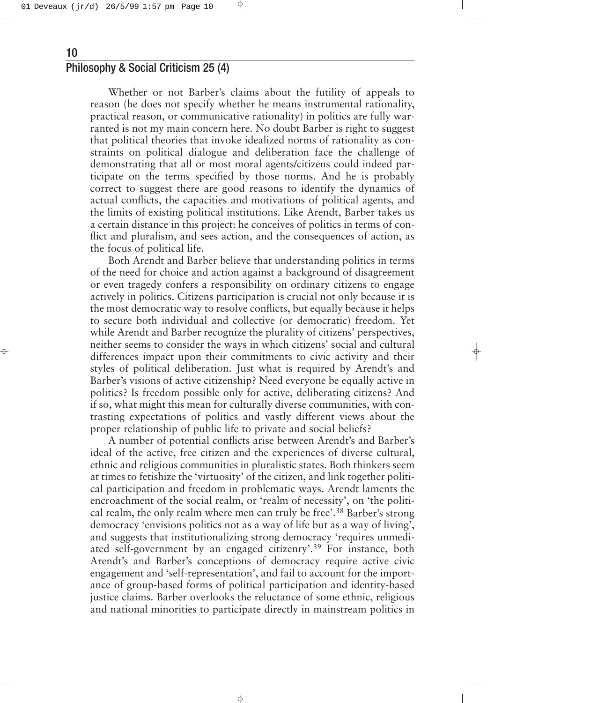Whether or not Barber's claims about the futility of appeals to reason (he does not specify whether he means instrumental rationality, practical reason, or communicative rationality) in politics are fully warranted is not my main concern here. No doubt Barber is right to suggest that political theories that invoke idealized norms of rationality as constraints on political dialogue and deliberation face the challenge of demonstrating that all or most moral agents/citizens could indeed participate on the terms specified by those norms. And he is probably correct to suggest there are good reasons to identify the dynamics of actual conflicts, the capacities and motivations of political agents, and the limits of existing political institutions. Like Arendt, Barber takes us a certain distance in this project: he conceives of politics in terms of conflict and pluralism, and sees action, and the consequences of action, as the focus of political life.

Both Arendt and Barber believe that understanding politics in terms of the need for choice and action against a background of disagreement or even tragedy confers a responsibility on ordinary citizens to engage actively in politics. Citizens participation is crucial not only because it is the most democratic way to resolve conflicts, but equally because it helps to secure both individual and collective (or democratic) freedom. Yet while Arendt and Barber recognize the plurality of citizens' perspectives, neither seems to consider the ways in which citizens' social and cultural differences impact upon their commitments to civic activity and their styles of political deliberation. Just what is required by Arendt's and Barber's visions of active citizenship? Need everyone be equally active in politics? Is freedom possible only for active, deliberating citizens? And if so, what might this mean for culturally diverse communities, with contrasting expectations of politics and vastly different views about the proper relationship of public life to private and social beliefs?

A number of potential conflicts arise between Arendt's and Barber's ideal of the active, free citizen and the experiences of diverse cultural, ethnic and religious communities in pluralistic states. Both thinkers seem at times to fetishize the 'virtuosity' of the citizen, and link together political participation and freedom in problematic ways. Arendt laments the encroachment of the social realm, or 'realm of necessity', on 'the political realm, the only realm where men can truly be free'.38 Barber's strong democracy 'envisions politics not as a way of life but as a way of living', and suggests that institutionalizing strong democracy 'requires unmediated self-government by an engaged citizenry'.39 For instance, both Arendt's and Barber's conceptions of democracy require active civic engagement and 'self-representation', and fail to account for the importance of group-based forms of political participation and identity-based justice claims. Barber overlooks the reluctance of some ethnic, religious and national minorities to participate directly in mainstream politics in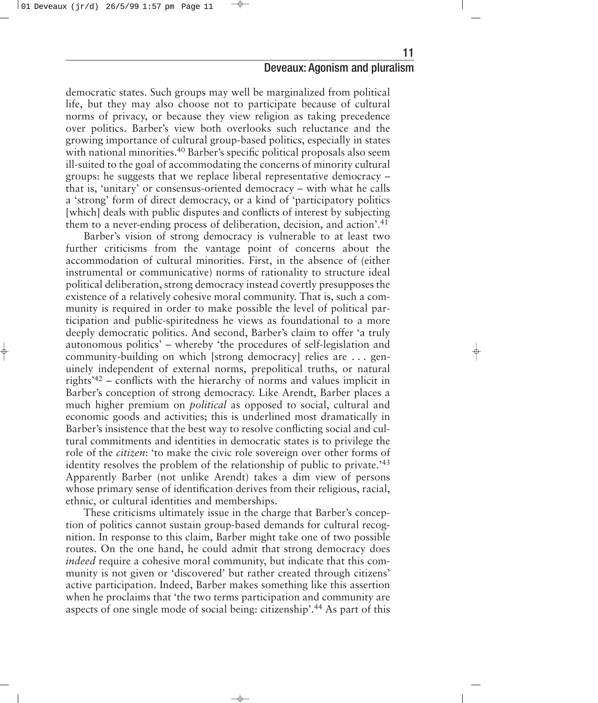11

democratic states. Such groups may well be marginalized from political life, but they may also choose not to participate because of cultural norms of privacy, or because they view religion as taking precedence over politics. Barber's view both overlooks such reluctance and the growing importance of cultural group-based politics, especially in states with national minorities.<sup>40</sup> Barber's specific political proposals also seem ill-suited to the goal of accommodating the concerns of minority cultural groups: he suggests that we replace liberal representative democracy – that is, 'unitary' or consensus-oriented democracy – with what he calls a 'strong' form of direct democracy, or a kind of 'participatory politics [which] deals with public disputes and conflicts of interest by subjecting them to a never-ending process of deliberation, decision, and action'.41

Barber's vision of strong democracy is vulnerable to at least two further criticisms from the vantage point of concerns about the accommodation of cultural minorities. First, in the absence of (either instrumental or communicative) norms of rationality to structure ideal political deliberation, strong democracy instead covertly presupposes the existence of a relatively cohesive moral community. That is, such a community is required in order to make possible the level of political participation and public-spiritedness he views as foundational to a more deeply democratic politics. And second, Barber's claim to offer 'a truly autonomous politics' – whereby 'the procedures of self-legislation and community-building on which [strong democracy] relies are . . . genuinely independent of external norms, prepolitical truths, or natural rights'42 – conflicts with the hierarchy of norms and values implicit in Barber's conception of strong democracy. Like Arendt, Barber places a much higher premium on *political* as opposed to social, cultural and economic goods and activities; this is underlined most dramatically in Barber's insistence that the best way to resolve conflicting social and cultural commitments and identities in democratic states is to privilege the role of the *citizen*: 'to make the civic role sovereign over other forms of identity resolves the problem of the relationship of public to private.'43 Apparently Barber (not unlike Arendt) takes a dim view of persons whose primary sense of identification derives from their religious, racial, ethnic, or cultural identities and memberships.

These criticisms ultimately issue in the charge that Barber's conception of politics cannot sustain group-based demands for cultural recognition. In response to this claim, Barber might take one of two possible routes. On the one hand, he could admit that strong democracy does *indeed* require a cohesive moral community, but indicate that this community is not given or 'discovered' but rather created through citizens' active participation. Indeed, Barber makes something like this assertion when he proclaims that 'the two terms participation and community are aspects of one single mode of social being: citizenship'.44 As part of this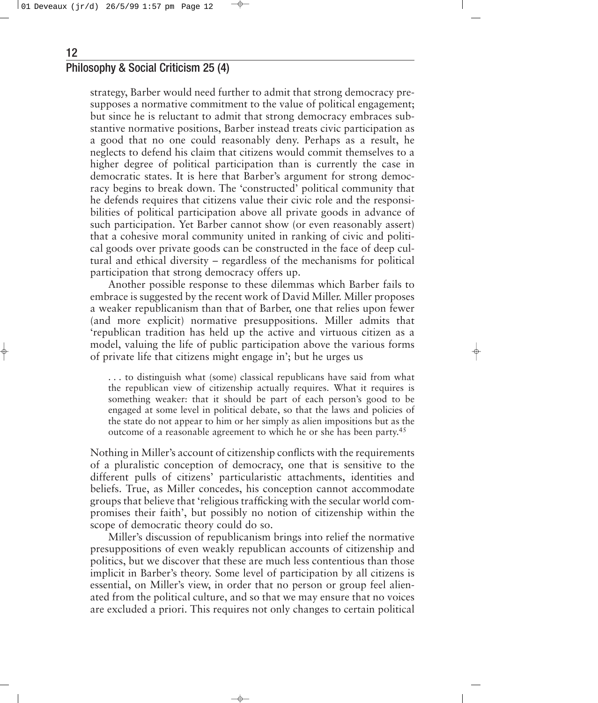12

strategy, Barber would need further to admit that strong democracy presupposes a normative commitment to the value of political engagement; but since he is reluctant to admit that strong democracy embraces substantive normative positions, Barber instead treats civic participation as a good that no one could reasonably deny. Perhaps as a result, he neglects to defend his claim that citizens would commit themselves to a higher degree of political participation than is currently the case in democratic states. It is here that Barber's argument for strong democracy begins to break down. The 'constructed' political community that he defends requires that citizens value their civic role and the responsibilities of political participation above all private goods in advance of such participation. Yet Barber cannot show (or even reasonably assert) that a cohesive moral community united in ranking of civic and political goods over private goods can be constructed in the face of deep cultural and ethical diversity – regardless of the mechanisms for political participation that strong democracy offers up.

Another possible response to these dilemmas which Barber fails to embrace is suggested by the recent work of David Miller. Miller proposes a weaker republicanism than that of Barber, one that relies upon fewer (and more explicit) normative presuppositions. Miller admits that 'republican tradition has held up the active and virtuous citizen as a model, valuing the life of public participation above the various forms of private life that citizens might engage in'; but he urges us

. . . to distinguish what (some) classical republicans have said from what the republican view of citizenship actually requires. What it requires is something weaker: that it should be part of each person's good to be engaged at some level in political debate, so that the laws and policies of the state do not appear to him or her simply as alien impositions but as the outcome of a reasonable agreement to which he or she has been party. 45

Nothing in Miller's account of citizenship conflicts with the requirements of a pluralistic conception of democracy, one that is sensitive to the different pulls of citizens' particularistic attachments, identities and beliefs. True, as Miller concedes, his conception cannot accommodate groups that believe that 'religious trafficking with the secular world compromises their faith', but possibly no notion of citizenship within the scope of democratic theory could do so.

Miller's discussion of republicanism brings into relief the normative presuppositions of even weakly republican accounts of citizenship and politics, but we discover that these are much less contentious than those implicit in Barber's theory. Some level of participation by all citizens is essential, on Miller's view, in order that no person or group feel alienated from the political culture, and so that we may ensure that no voices are excluded a priori. This requires not only changes to certain political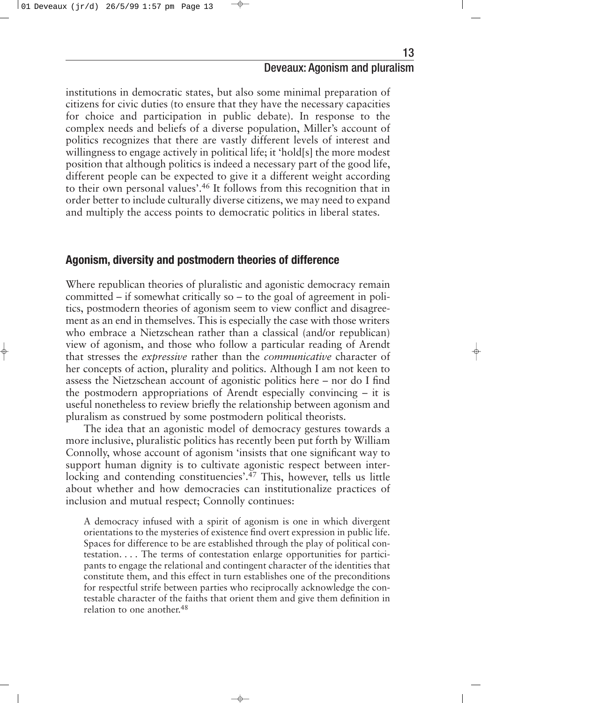institutions in democratic states, but also some minimal preparation of citizens for civic duties (to ensure that they have the necessary capacities for choice and participation in public debate). In response to the complex needs and beliefs of a diverse population, Miller's account of politics recognizes that there are vastly different levels of interest and willingness to engage actively in political life; it 'hold[s] the more modest position that although politics is indeed a necessary part of the good life, different people can be expected to give it a different weight according to their own personal values'.46 It follows from this recognition that in order better to include culturally diverse citizens, we may need to expand and multiply the access points to democratic politics in liberal states.

#### **Agonism, diversity and postmodern theories of difference**

Where republican theories of pluralistic and agonistic democracy remain committed – if somewhat critically so – to the goal of agreement in politics, postmodern theories of agonism seem to view conflict and disagreement as an end in themselves. This is especially the case with those writers who embrace a Nietzschean rather than a classical (and/or republican) view of agonism, and those who follow a particular reading of Arendt that stresses the *expressive* rather than the *communicative* character of her concepts of action, plurality and politics. Although I am not keen to assess the Nietzschean account of agonistic politics here – nor do I find the postmodern appropriations of Arendt especially convincing – it is useful nonetheless to review briefly the relationship between agonism and pluralism as construed by some postmodern political theorists.

The idea that an agonistic model of democracy gestures towards a more inclusive, pluralistic politics has recently been put forth by William Connolly, whose account of agonism 'insists that one significant way to support human dignity is to cultivate agonistic respect between interlocking and contending constituencies'.<sup>47</sup> This, however, tells us little about whether and how democracies can institutionalize practices of inclusion and mutual respect; Connolly continues:

A democracy infused with a spirit of agonism is one in which divergent orientations to the mysteries of existence find overt expression in public life. Spaces for difference to be are established through the play of political contestation... . The terms of contestation enlarge opportunities for participants to engage the relational and contingent character of the identities that constitute them, and this effect in turn establishes one of the preconditions for respectful strife between parties who reciprocally acknowledge the contestable character of the faiths that orient them and give them definition in relation to one another. 48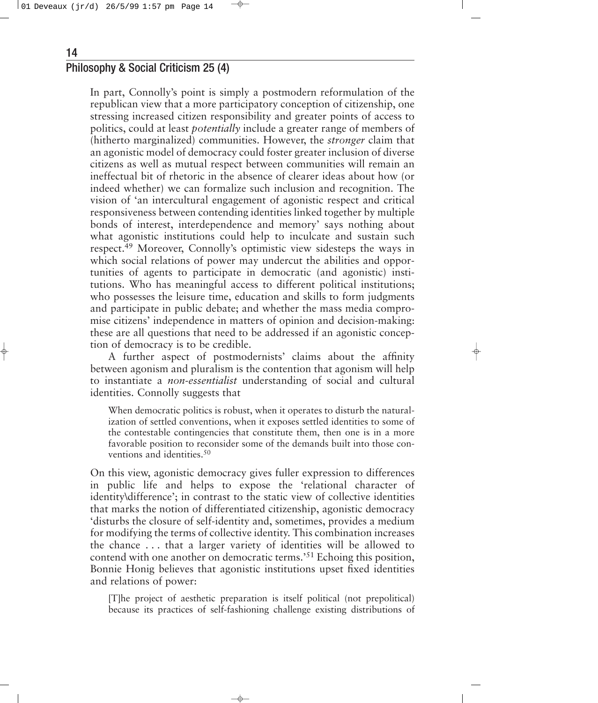In part, Connolly's point is simply a postmodern reformulation of the republican view that a more participatory conception of citizenship, one stressing increased citizen responsibility and greater points of access to politics, could at least *potentially* include a greater range of members of (hitherto marginalized) communities. However, the *stronger* claim that an agonistic model of democracy could foster greater inclusion of diverse citizens as well as mutual respect between communities will remain an ineffectual bit of rhetoric in the absence of clearer ideas about how (or indeed whether) we can formalize such inclusion and recognition. The vision of 'an intercultural engagement of agonistic respect and critical responsiveness between contending identities linked together by multiple bonds of interest, interdependence and memory' says nothing about what agonistic institutions could help to inculcate and sustain such respect.49 Moreover, Connolly's optimistic view sidesteps the ways in which social relations of power may undercut the abilities and opportunities of agents to participate in democratic (and agonistic) institutions. Who has meaningful access to different political institutions; who possesses the leisure time, education and skills to form judgments and participate in public debate; and whether the mass media compromise citizens' independence in matters of opinion and decision-making: these are all questions that need to be addressed if an agonistic conception of democracy is to be credible.

A further aspect of postmodernists' claims about the affinity between agonism and pluralism is the contention that agonism will help to instantiate a *non-essentialist* understanding of social and cultural identities. Connolly suggests that

When democratic politics is robust, when it operates to disturb the naturalization of settled conventions, when it exposes settled identities to some of the contestable contingencies that constitute them, then one is in a more favorable position to reconsider some of the demands built into those conventions and identities.50

On this view, agonistic democracy gives fuller expression to differences in public life and helps to expose the 'relational character of identity\difference'; in contrast to the static view of collective identities that marks the notion of differentiated citizenship, agonistic democracy 'disturbs the closure of self-identity and, sometimes, provides a medium for modifying the terms of collective identity. This combination increases the chance . . . that a larger variety of identities will be allowed to contend with one another on democratic terms.'51 Echoing this position, Bonnie Honig believes that agonistic institutions upset fixed identities and relations of power:

[T]he project of aesthetic preparation is itself political (not prepolitical) because its practices of self-fashioning challenge existing distributions of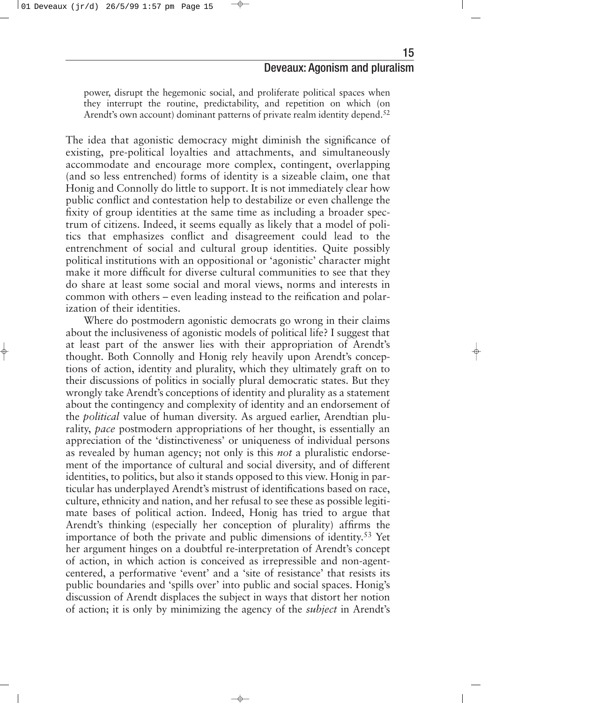power, disrupt the hegemonic social, and proliferate political spaces when they interrupt the routine, predictability, and repetition on which (on Arendt's own account) dominant patterns of private realm identity depend.<sup>52</sup>

The idea that agonistic democracy might diminish the significance of existing, pre-political loyalties and attachments, and simultaneously accommodate and encourage more complex, contingent, overlapping (and so less entrenched) forms of identity is a sizeable claim, one that Honig and Connolly do little to support. It is not immediately clear how public conflict and contestation help to destabilize or even challenge the fixity of group identities at the same time as including a broader spectrum of citizens. Indeed, it seems equally as likely that a model of politics that emphasizes conflict and disagreement could lead to the entrenchment of social and cultural group identities. Quite possibly political institutions with an oppositional or 'agonistic' character might make it more difficult for diverse cultural communities to see that they do share at least some social and moral views, norms and interests in common with others – even leading instead to the reification and polarization of their identities.

Where do postmodern agonistic democrats go wrong in their claims about the inclusiveness of agonistic models of political life? I suggest that at least part of the answer lies with their appropriation of Arendt's thought. Both Connolly and Honig rely heavily upon Arendt's conceptions of action, identity and plurality, which they ultimately graft on to their discussions of politics in socially plural democratic states. But they wrongly take Arendt's conceptions of identity and plurality as a statement about the contingency and complexity of identity and an endorsement of the *political* value of human diversity. As argued earlier, Arendtian plurality, *pace* postmodern appropriations of her thought, is essentially an appreciation of the 'distinctiveness' or uniqueness of individual persons as revealed by human agency; not only is this *not* a pluralistic endorsement of the importance of cultural and social diversity, and of different identities, to politics, but also it stands opposed to this view. Honig in particular has underplayed Arendt's mistrust of identifications based on race, culture, ethnicity and nation, and her refusal to see these as possible legitimate bases of political action. Indeed, Honig has tried to argue that Arendt's thinking (especially her conception of plurality) affirms the importance of both the private and public dimensions of identity. <sup>53</sup> Yet her argument hinges on a doubtful re-interpretation of Arendt's concept of action, in which action is conceived as irrepressible and non-agentcentered, a performative 'event' and a 'site of resistance' that resists its public boundaries and 'spills over' into public and social spaces. Honig's discussion of Arendt displaces the subject in ways that distort her notion of action; it is only by minimizing the agency of the *subject* in Arendt's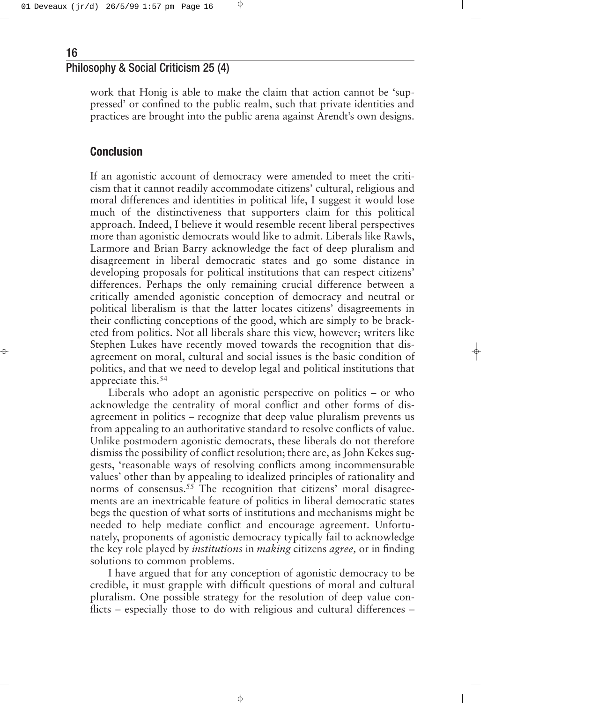work that Honig is able to make the claim that action cannot be 'suppressed' or confined to the public realm, such that private identities and practices are brought into the public arena against Arendt's own designs.

#### **Conclusion**

If an agonistic account of democracy were amended to meet the criticism that it cannot readily accommodate citizens' cultural, religious and moral differences and identities in political life, I suggest it would lose much of the distinctiveness that supporters claim for this political approach. Indeed, I believe it would resemble recent liberal perspectives more than agonistic democrats would like to admit. Liberals like Rawls, Larmore and Brian Barry acknowledge the fact of deep pluralism and disagreement in liberal democratic states and go some distance in developing proposals for political institutions that can respect citizens' differences. Perhaps the only remaining crucial difference between a critically amended agonistic conception of democracy and neutral or political liberalism is that the latter locates citizens' disagreements in their conflicting conceptions of the good, which are simply to be bracketed from politics. Not all liberals share this view, however; writers like Stephen Lukes have recently moved towards the recognition that disagreement on moral, cultural and social issues is the basic condition of politics, and that we need to develop legal and political institutions that appreciate this.<sup>54</sup>

Liberals who adopt an agonistic perspective on politics – or who acknowledge the centrality of moral conflict and other forms of disagreement in politics – recognize that deep value pluralism prevents us from appealing to an authoritative standard to resolve conflicts of value. Unlike postmodern agonistic democrats, these liberals do not therefore dismiss the possibility of conflict resolution; there are, as John Kekes suggests, 'reasonable ways of resolving conflicts among incommensurable values' other than by appealing to idealized principles of rationality and norms of consensus.<sup>55</sup> The recognition that citizens' moral disagreements are an inextricable feature of politics in liberal democratic states begs the question of what sorts of institutions and mechanisms might be needed to help mediate conflict and encourage agreement. Unfortunately, proponents of agonistic democracy typically fail to acknowledge the key role played by *institutions* in *making* citizens *agree,* or in finding solutions to common problems.

I have argued that for any conception of agonistic democracy to be credible, it must grapple with difficult questions of moral and cultural pluralism. One possible strategy for the resolution of deep value conflicts – especially those to do with religious and cultural differences –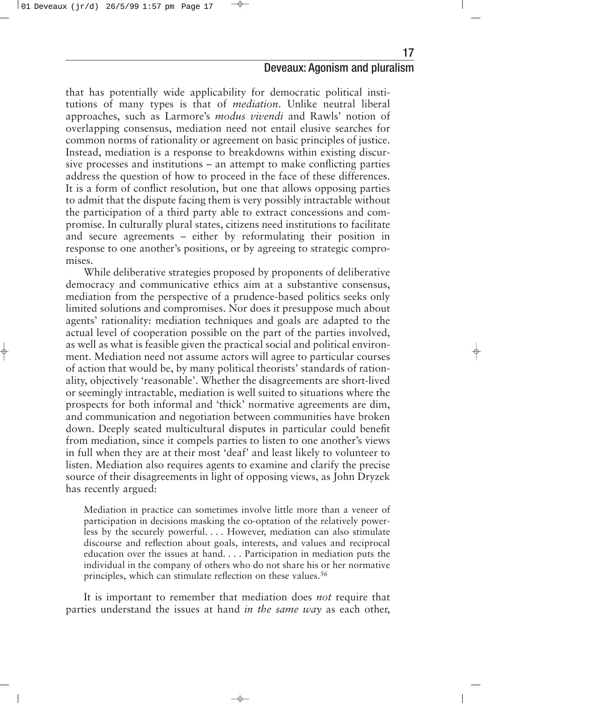that has potentially wide applicability for democratic political institutions of many types is that of *mediation*. Unlike neutral liberal approaches, such as Larmore's *modus vivendi* and Rawls' notion of overlapping consensus, mediation need not entail elusive searches for common norms of rationality or agreement on basic principles of justice. Instead, mediation is a response to breakdowns within existing discursive processes and institutions – an attempt to make conflicting parties address the question of how to proceed in the face of these differences. It is a form of conflict resolution, but one that allows opposing parties to admit that the dispute facing them is very possibly intractable without the participation of a third party able to extract concessions and compromise. In culturally plural states, citizens need institutions to facilitate and secure agreements – either by reformulating their position in response to one another's positions, or by agreeing to strategic compromises.

While deliberative strategies proposed by proponents of deliberative democracy and communicative ethics aim at a substantive consensus, mediation from the perspective of a prudence-based politics seeks only limited solutions and compromises. Nor does it presuppose much about agents' rationality: mediation techniques and goals are adapted to the actual level of cooperation possible on the part of the parties involved, as well as what is feasible given the practical social and political environment. Mediation need not assume actors will agree to particular courses of action that would be, by many political theorists' standards of rationality, objectively 'reasonable'. Whether the disagreements are short-lived or seemingly intractable, mediation is well suited to situations where the prospects for both informal and 'thick' normative agreements are dim, and communication and negotiation between communities have broken down. Deeply seated multicultural disputes in particular could benefit from mediation, since it compels parties to listen to one another's views in full when they are at their most 'deaf' and least likely to volunteer to listen. Mediation also requires agents to examine and clarify the precise source of their disagreements in light of opposing views, as John Dryzek has recently argued:

Mediation in practice can sometimes involve little more than a veneer of participation in decisions masking the co-optation of the relatively powerless by the securely powerful... . However, mediation can also stimulate discourse and reflection about goals, interests, and values and reciprocal education over the issues at hand... . Participation in mediation puts the individual in the company of others who do not share his or her normative principles, which can stimulate reflection on these values.<sup>56</sup>

It is important to remember that mediation does *not* require that parties understand the issues at hand *in the same way* as each other,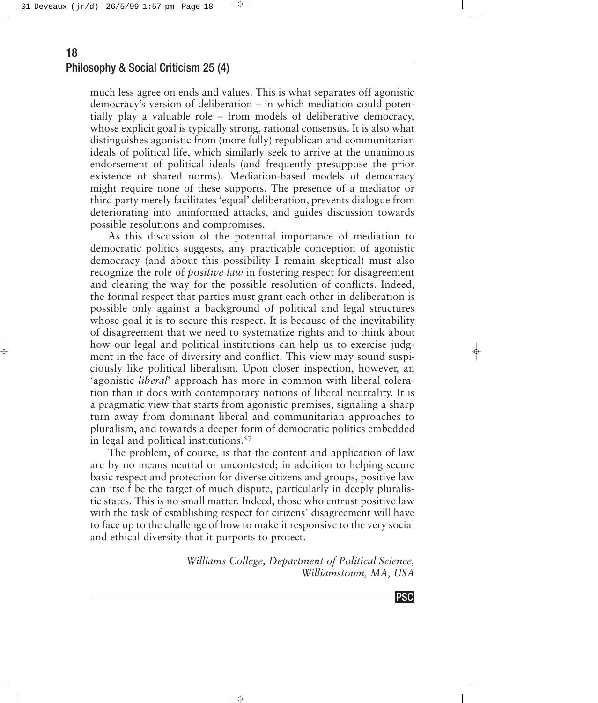<span id="page-17-0"></span>much less agree on ends and values. This is what separates off agonistic democracy's version of deliberation – in which mediation could potentially play a valuable role – from models of deliberative democracy, whose explicit goal is typically strong, rational consensus. It is also what distinguishes agonistic from (more fully) republican and communitarian ideals of political life, which similarly seek to arrive at the unanimous endorsement of political ideals (and frequently presuppose the prior existence of shared norms). Mediation-based models of democracy might require none of these supports. The presence of a mediator or third party merely facilitates 'equal' deliberation, prevents dialogue from deteriorating into uninformed attacks, and guides discussion towards possible resolutions and compromises.

As this discussion of the potential importance of mediation to democratic politics suggests, any practicable conception of agonistic democracy (and about this possibility I remain skeptical) must also recognize the role of *positive law* in fostering respect for disagreement and clearing the way for the possible resolution of conflicts. Indeed, the formal respect that parties must grant each other in deliberation is possible only against a background of political and legal structures whose goal it is to secure this respect. It is because of the inevitability of disagreement that we need to systematize rights and to think about how our legal and political institutions can help us to exercise judgment in the face of diversity and conflict. This view may sound suspiciously like political liberalism. Upon closer inspection, however, an 'agonistic *liberal*' approach has more in common with liberal toleration than it does with contemporary notions of liberal neutrality. It is a pragmatic view that starts from agonistic premises, signaling a sharp turn away from dominant liberal and communitarian approaches to pluralism, and towards a deeper form of democratic politics embedded in legal and political institutions.57

The problem, of course, is that the content and application of law are by no means neutral or uncontested; in addition to helping secure basic respect and protection for diverse citizens and groups, positive law can itself be the target of much dispute, particularly in deeply pluralistic states. This is no small matter. Indeed, those who entrust positive law with the task of establishing respect for citizens' disagreement will have to face up to the challenge of how to make it responsive to the very social and ethical diversity that it purports to protect.

> *Williams College, Department of Political Science, Williamstown, MA, USA*

> > PSC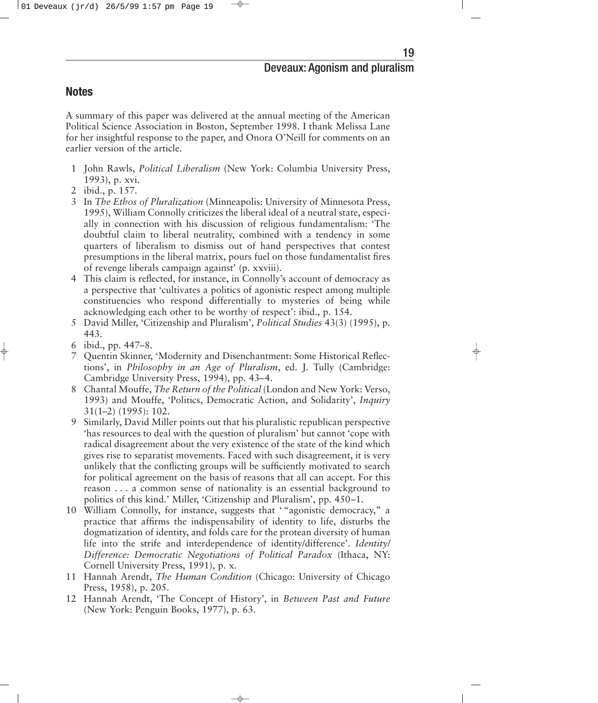## **Notes**

A summary of this paper was delivered at the annual meeting of the American Political Science Association in Boston, September 1998. I thank Melissa Lane for her insightful response to the paper, and Onora O'Neill for comments on an earlier version of the article.

- 1 John Rawls, *Political Liberalism* (New York: Columbia University Press, 1993), p. xvi.
- 2 ibid., p. 157.
- 3 In *The Ethos of Pluralization* (Minneapolis: University of Minnesota Press, 1995), William Connolly criticizes the liberal ideal of a neutral state, especially in connection with his discussion of religious fundamentalism: 'The doubtful claim to liberal neutrality, combined with a tendency in some quarters of liberalism to dismiss out of hand perspectives that contest presumptions in the liberal matrix, pours fuel on those fundamentalist fires of revenge liberals campaign against' (p. xxviii).
- 4 This claim is reflected, for instance, in Connolly's account of democracy as a perspective that 'cultivates a politics of agonistic respect among multiple constituencies who respond differentially to mysteries of being while acknowledging each other to be worthy of respect': ibid., p. 154.
- 5 David Miller, 'Citizenship and Pluralism', *Political Studies* 43(3) (1995), p. 443.
- 6 ibid., pp. 447–8.
- 7 Quentin Skinner, 'Modernity and Disenchantment: Some Historical Reflections', in *Philosophy in an Age of Pluralism*, ed. J. Tully (Cambridge: Cambridge University Press, 1994), pp. 43–4.
- 8 Chantal Mouffe, *The Return of the Political* (London and New York: Verso, 1993) and Mouffe, 'Politics, Democratic Action, and Solidarity', *Inquiry* 31(1–2) (1995): 102.
- 9 Similarly, David Miller points out that his pluralistic republican perspective 'has resources to deal with the question of pluralism' but cannot 'cope with radical disagreement about the very existence of the state of the kind which gives rise to separatist movements. Faced with such disagreement, it is very unlikely that the conflicting groups will be sufficiently motivated to search for political agreement on the basis of reasons that all can accept. For this reason . . . a common sense of nationality is an essential background to politics of this kind.' Miller, 'Citizenship and Pluralism', pp. 450–1.
- 10 William Connolly, for instance, suggests that ' "agonistic democracy," a practice that affirms the indispensability of identity to life, disturbs the dogmatization of identity, and folds care for the protean diversity of human life into the strife and interdependence of identity/difference'. *Identity/ Difference: Democratic Negotiations of Political Paradox* (Ithaca, NY: Cornell University Press, 1991), p. x.
- 11 Hannah Arendt, *The Human Condition* (Chicago: University of Chicago Press, 1958), p. 205.
- 12 Hannah Arendt, 'The Concept of History', in *Between Past and Future* (New York: Penguin Books, 1977), p. 63.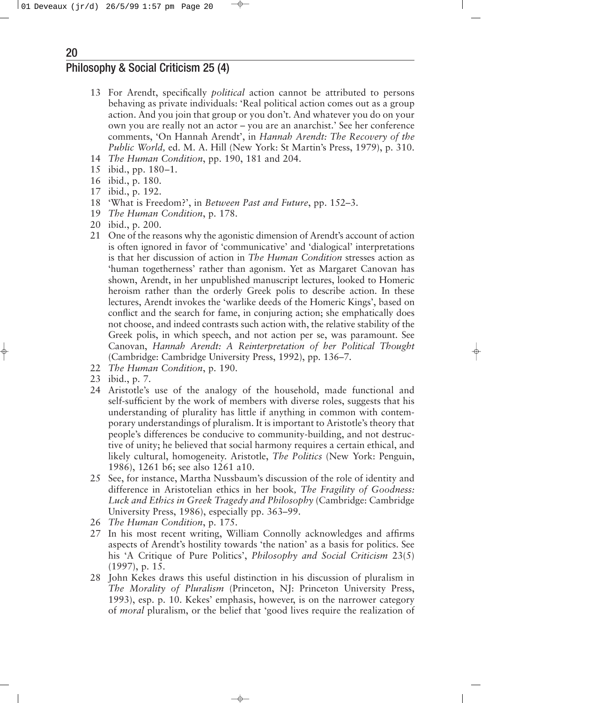- 13 For Arendt, specifically *political* action cannot be attributed to persons behaving as private individuals: 'Real political action comes out as a group action. And you join that group or you don't. And whatever you do on your own you are really not an actor – you are an anarchist.' See her conference comments, 'On Hannah Arendt', in *Hannah Arendt: The Recovery of the Public World,* ed. M. A. Hill (New York: St Martin's Press, 1979), p. 310.
- 14 *The Human Condition*, pp. 190, 181 and 204.
- 15 ibid., pp. 180–1.
- 16 ibid., p. 180.
- 17 ibid., p. 192.
- 18 'What is Freedom?', in *Between Past and Future*, pp. 152–3.
- 19 *The Human Condition*, p. 178.
- 20 ibid., p. 200.
- 21 One of the reasons why the agonistic dimension of Arendt's account of action is often ignored in favor of 'communicative' and 'dialogical' interpretations is that her discussion of action in *The Human Condition* stresses action as 'human togetherness' rather than agonism. Yet as Margaret Canovan has shown, Arendt, in her unpublished manuscript lectures, looked to Homeric heroism rather than the orderly Greek polis to describe action. In these lectures, Arendt invokes the 'warlike deeds of the Homeric Kings', based on conflict and the search for fame, in conjuring action; she emphatically does not choose, and indeed contrasts such action with, the relative stability of the Greek polis, in which speech, and not action per se, was paramount. See Canovan, *Hannah Arendt: A Reinterpretation of her Political Thought* (Cambridge: Cambridge University Press, 1992), pp. 136–7.
- 22 *The Human Condition*, p. 190.
- 23 ibid., p. 7.
- 24 Aristotle's use of the analogy of the household, made functional and self-sufficient by the work of members with diverse roles, suggests that his understanding of plurality has little if anything in common with contemporary understandings of pluralism. It is important to Aristotle's theory that people's differences be conducive to community-building, and not destructive of unity; he believed that social harmony requires a certain ethical, and likely cultural, homogeneity. Aristotle, *The Politics* (New York: Penguin, 1986), 1261 b6; see also 1261 a10.
- 25 See, for instance, Martha Nussbaum's discussion of the role of identity and difference in Aristotelian ethics in her book*, The Fragility of Goodness: Luck and Ethics in Greek Tragedy and Philosophy* (Cambridge: Cambridge University Press, 1986), especially pp. 363–99.
- 26 *The Human Condition*, p. 175.
- 27 In his most recent writing, William Connolly acknowledges and affirms aspects of Arendt's hostility towards 'the nation' as a basis for politics. See his 'A Critique of Pure Politics', *Philosophy and Social Criticism* 23(5) (1997), p. 15.
- 28 John Kekes draws this useful distinction in his discussion of pluralism in *The Morality of Pluralism* (Princeton, NJ: Princeton University Press, 1993), esp. p. 10. Kekes' emphasis, however, is on the narrower category of *moral* pluralism, or the belief that 'good lives require the realization of

20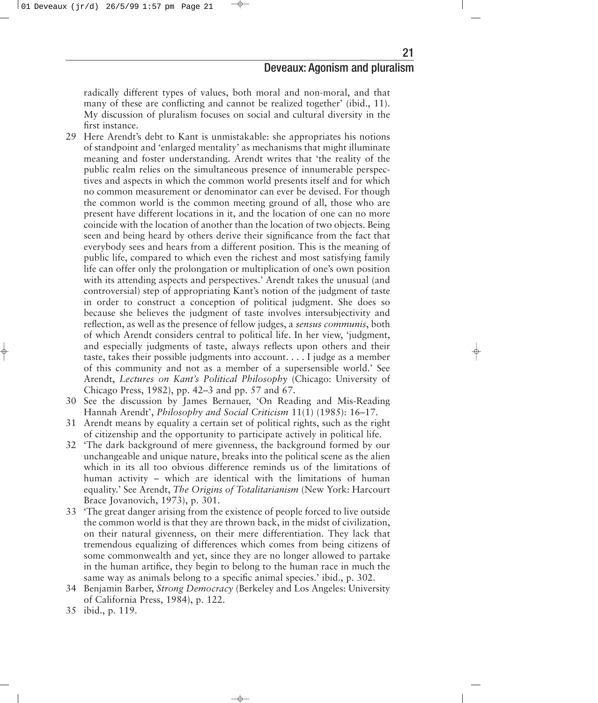radically different types of values, both moral and non-moral, and that many of these are conflicting and cannot be realized together' (ibid., 11). My discussion of pluralism focuses on social and cultural diversity in the first instance.

- 29 Here Arendt's debt to Kant is unmistakable: she appropriates his notions of standpoint and 'enlarged mentality' as mechanisms that might illuminate meaning and foster understanding. Arendt writes that 'the reality of the public realm relies on the simultaneous presence of innumerable perspectives and aspects in which the common world presents itself and for which no common measurement or denominator can ever be devised. For though the common world is the common meeting ground of all, those who are present have different locations in it, and the location of one can no more coincide with the location of another than the location of two objects. Being seen and being heard by others derive their significance from the fact that everybody sees and hears from a different position. This is the meaning of public life, compared to which even the richest and most satisfying family life can offer only the prolongation or multiplication of one's own position with its attending aspects and perspectives.' Arendt takes the unusual (and controversial) step of appropriating Kant's notion of the judgment of taste in order to construct a conception of political judgment. She does so because she believes the judgment of taste involves intersubjectivity and reflection, as well as the presence of fellow judges, a *sensus communis*, both of which Arendt considers central to political life. In her view, 'judgment, and especially judgments of taste, always reflects upon others and their taste, takes their possible judgments into account... . I judge as a member of this community and not as a member of a supersensible world.' See Arendt, *Lectures on Kant's Political Philosophy* (Chicago: University of Chicago Press, 1982), pp. 42–3 and pp. 57 and 67.
- 30 See the discussion by James Bernauer, 'On Reading and Mis-Reading Hannah Arendt', *Philosophy and Social Criticism* 11(1) (1985): 16–17.
- 31 Arendt means by equality a certain set of political rights, such as the right of citizenship and the opportunity to participate actively in political life.
- 32 'The dark background of mere givenness, the background formed by our unchangeable and unique nature, breaks into the political scene as the alien which in its all too obvious difference reminds us of the limitations of human activity – which are identical with the limitations of human equality.' See Arendt, *The Origins of Totalitarianism* (New York: Harcourt Brace Jovanovich, 1973), p. 301.
- 33 'The great danger arising from the existence of people forced to live outside the common world is that they are thrown back, in the midst of civilization, on their natural givenness, on their mere differentiation. They lack that tremendous equalizing of differences which comes from being citizens of some commonwealth and yet, since they are no longer allowed to partake in the human artifice, they begin to belong to the human race in much the same way as animals belong to a specific animal species.' ibid., p. 302.
- 34 Benjamin Barber, *Strong Democracy* (Berkeley and Los Angeles: University of California Press, 1984), p. 122.
- 35 ibid., p. 119.